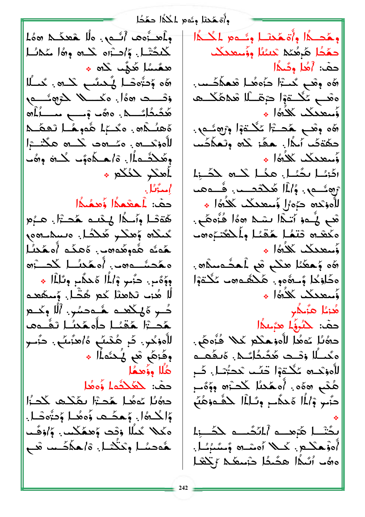وأقحُدثا ودُوم الحُدَّا حمَّحُا

وأهدأوها أنَّـــم، ولَا هَعنَـــم هوَ كَبِّئَةًا. وُأَصَرْنَ كَبِيهِ وَهُمَّا سَكِيْبًا ھمَسُل هُمَّب لاه ﴾ ھُو وُدُّوْھَـا هُـُدسَّـع كَــْدَى. كَنــُلا وثــــد ههُ . هکــــلا كموه ـُـــم ھَـصَّحُائــــــــــمَ . دەَّـــ وَـــــــــــــ مــــــــــ اُلَم هُهلُدُهِ. مَكْبُرُ هُومِهُا تَعهَدُ لأُوفِي من مصل من الله مكثبة ا وِهَٰكُشُّمَاٗا فِي ٱلْمُسَكَّوةِ ۖ كُلْتُ وِهُبَ لمُعتَدِ لمَنُكُم \* **/مىزٌئل**. حق: المعقمة الأوهمُلة هَوْدًا وَرَسُمًا لِحَسَدٍ هَدِيْنَ هَدِمِ ئىلاە ۆھكىر ھُلائىل. ەسىلمەم هُوئُه هُومُوهوم.. هُهَكُم أَه هُكْنُا وِوَّەُمِ. حَزْمِهِ وَٱلْمَا هَجْمُمِ وِتُلِمَّا \* لًا هُنِ تَلاهِنَا حُمِ هُتْلٍ. وَسَعُعِدِهِ كُبِرِ ةَلِيَكْفِتْهِ حُبِّهِجْسِرٍ. أَلَّا وِكْتُمْ هُدَتْ هُقْنًا داْهِهُدْ لَاقْدە الْأَوْنُدِ. ثُمْ هُدْسٌ هُ/هُ:ُسٌّعٌ. هُ:ُسْوِ وفَرْهُمْ هُمْ لِمُحْتُمَاً ﴾ هُلًا وؤُهِمُا حقَّ: لَهُلَاثُوا زُوهُا دەُنا ئەھْل هُدْ:ا ىكْدْھ كْدْ:ا وَالْحَدْهَا. وَحَصَّصَ وَوَهُمَا وَحَزَّوهُمَا. ەڭلا گىلا ۆتت ۆھككىپ. ۆ/ۆگىي هُوجِسًا وِيْتُبْدا. وْاهْلُجْسَبْ هْبِ

وهجار وأقهدتنا وئنوه لمكتار حمَّحُل هُرهُمُمْ تَعِينُلُ وِؤُسِعِدِكُت حقَّ: أَهُا وِثَيْدًا هُه وَهْمٍ مُحَبَّا دَوْهُما شَعَلَادُحَت. ەقب ئڭــةوا دېقىــُلا قىدمَكـــم ؤسعدكك كلاُهُ ا هُه وَهُبِ هُدِيْنَ كُلْتَةٍ وَرُوسُمِي. حَقَّقَفَ أَبْدًا. حَقَّة كَلَّه وِتَعَدَّكْت ۆمىعدىك كلاُۋا ، ادَّنْـا بِدَّـا. مِنْـا كْـ مِ حْخَــزِا رُومُـــو). وُأَكَلْهُ هُكْتَتْـــب. فَـــوهما الأدوْكَة دَءُرًا وُسْعَدِكُمَا لَلْأَهُا ﴾ هَم لِمُءوَ ٱتنݣَال لشنط هوا قُنُوهُم . مكعْده قتمُا هُقْدَا وِلَمْحَمَّدَهِ وَمَ وُسعىك للأة ا 6ه وَحَمَدُا مِنْكُم مْعَ أَحْشُومِكُمْ . ەكَلۇڭل ۇسۇھۇ ، ھَكْھُدەب كَكْتَوْل ؤسعدكما للأةكاء هُذِمًا هَٰٓنِكُمْ حقَّ: لِمُنْوَلِّهُ هَزَّمْلاً دەُنا مُەھُا لِلُەزىمىلى كىلا قُزْەھُى. ەڭىــلْا وْتْــت هُثُبْتُ|ئَــدْ. ەْبْقُعــە لأُهوْبْدِهِ عُكْتَهْوا تْسَّبِ بْدَخُرْتِيلْ. كُبِّرْ هُدْمٍ 500 }. أُه هُدْلُل كُحِنْزُهِ وَوَّةُ مِ حَنَّىرِ وَٱلْمَالَ مُحَكَّسِ وِسَّالَمَا ۖ حَفَّـٰءَوَهُمَّ بِدَّتْــا هُبِّعْـــهِ ٱلْمُكْـــهِ لِكَـــزِلِمْ أُهْوَهِكُمْ رَبُّكُمْ أَهْشَاهُ وُسِئْبُرُسُلَ. ەھُب ٱئىمَّا ھِحَىطُ جَسِعَكَ ۚ تَكْعَبَلَ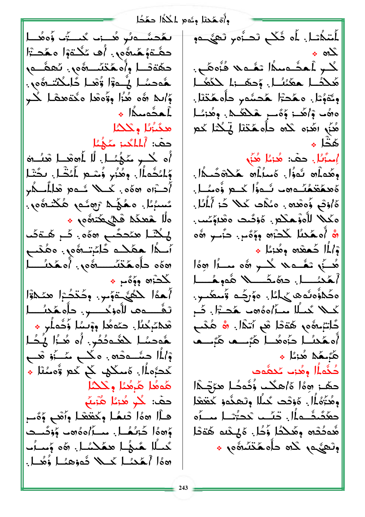وأَقصُدْلَا وشَعرِ لِمَكْلًا حَمْدًا

بْغُجِيشْنِدْتُو هُنْدَى كُمْتُ بَنْ وَّدْهُنْدَا حَقَّـةَوُهُمُوهُم. أَفْ كَكُنَّةٍ مَهْدَيًّا حفَّةڤا وأُه هُدّئُبٍ وُهُو، نُعفُ م هُوصِمُــا هُــوَوْٓا وُوْصَــا كَامِكْتُــرُوْوِي. وَ}لَّ هُءٍ هُذَا وِوَّهِ هَذَا هَ كَتَوْهِ هَذَا لَكُن أحدُه ممارك في الله عليه الله هدٌ،ُبُل و تَكِيُل حقّ: أَلْمَلْكُمْ; مَكْهُمُا أَه لُحْــرِ مَكْهُمُــا. لَا لَمُعْقَــا هْنُــغ وَلِمُحْمَلًا. وِهُنُو وُسْعِ لَمُخْلِ بِحُثْلِ أَحِبْنَ 500 مِنْ كَمِيلًا شَمْعٍ هَلِلَمْسِلُمْ . برەشتىنگە ئوھشى ئىكتىشەن. • وەۋىتقرىزىمىڭ ئىقىمقە للە لحَمْقَا مَعْحَصًى 500 . ضَرِ هُــَةَضَ أَسْمًا هِكُمْدُ دُلَّبْتِيهُمْ. وَهُنْب هؤه حاْهِمْتْنُــــوْهِ, أَهْمُدْـــا كْحَزْرُهِ وَوَّەْمِ \* أَهمُا لِكُهُنَّ وَمِن وَكُنْكُمْ! مِنَكُمْوَٓا تَقَّـــــوم الأُووْكَـــــــو. حالُوهُكِنُــــا هْكْبُكْلًا. حَكْمُعًا وِوْسْلَا وَّفْعَلُو \* هُوجِسًا لِحَقُّودُودِ أَو هُـزًا لِمَـجُـأ وْݣُلْا حِشَّەتُه. مْكُمْ مْشُوُّو قْبَى كَحَرُّه أَلْ. هُمكُّنْ كُمْ كُمْ وُّومُمْتَا \* هُوهُا هُرهُنا وتَكْثَلُ حقَّ: كُمْ هُنْمًا هُنْبَهُ هأا هؤا تَعمُّا وكَعْعْدا وأَهْدِ وَوُّتِ وَّ3% خَزْنُعُــاً. مـــأَ/300هـ- وُوَثَّـــت كْمِلًا هُبِهُما هِمُحْسُلٍ. ۞ه وُمِيرُب هِهُمْ أَهْلَا لَمَلا أَهْوَهُمْ أَوْهُمْ }.

لَمَتَدَٰدًا. لَمَ قَكُم تَدَّوَمِ تَعَيُّدَهِ  $\therefore$  on كُــرِ ٱهشُـــمسكُل تَـقُــمـلا قُنُّوهُــع. هَٰلِكُ لَم مَكْنُسُلٍ. وَحَدَّبَهُ لِلْكُعُلِ وِثَةَوُدًا. وَهُدْرًا هُدَسُومٍ دَاْوَهُدَيْلَ. ەھُب ۋاھُبز ۆِھُب ھَكْھُكُ). وِھُنْسُلُ هُنَّهِ اهُذِهِ لَاهِ حَأْهِ هُنْذَا لَمِكْمَا لَحْمِ هُ ڏُا إِسْتَمَالَ. حقَّ: هُنْمَا هُنَّى وِهَٰدےٱه نُدوُّل. هَمباُلُه هَكْدُهُ صَـٰدًا. ة محَمَّقَهُنَّــه» بَــُــهوُّا لَحَـــم وُّه مُـــاً. هُ/وْتُم وُهڤده . هنْݣُد كَلا كُمْ أَلْمُلْ. ەڭلا للەۋھكۈر. ەۆگىت ەقداۋكىب. لَّهُ أُوَهَّدْنَا لَكْتَرَهُ وَوَوَّمْنِ. حَنُسٍ هُوَ وْالْمَا كَعْعْدُه وِهُذِئا \* هُــَـنُ تَمُّــه لا كُــرٍ هُه مسأل هِهُ ا ەككۇەئەھ كىلئا. ەۆركە ۋىيغىپ كُمِلًا كَمِيلًا مِمَاًاهِ\$80 هَدَّا. كَم حَاتِبِـرةَو، هَـٰٓدَا مَى ٱتنْدَا. ۞ هُـدَـــى أهكنئا حزه فا هُزَ م هُمْهُمْ هُزِئْلُ ﴾ كُنُّه لَٰهُ وهُنِ كَبْحَقُوب حَفَّ: وَهُ| هُ|هكُــ وُثَّوَهُـا مَرَجَّـدًا وهُتُوُماً! . هُوْتُت كَمُلًا وتَعِدُّووْ كَعَنْعْدًا حعَكَمثُــولُمْل. تَصَّــب تَحَتَّبَــل مسأو هُددُدُه وهُـٰلادُا وُٰدًا. هُلِـٰدُله هُـٰٓدَا وتَعيَّمٍ لَاهِ حالَّهِ مِنْهُمْ وَ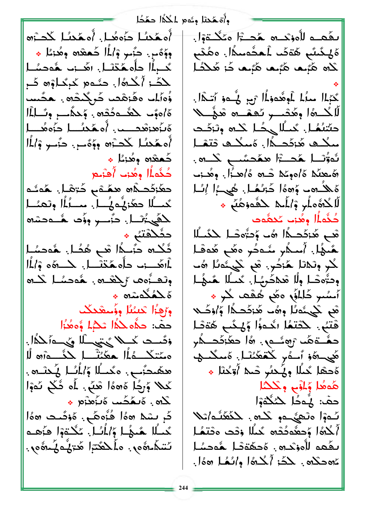وأقحَمنا وئوم الحُدًا حمَّجًا

أُوهَنَّا دَرُوهُا. أُوهَنَّا كَدْرُو وِوَّەُمِ بِ حَزْمِرٍ وَٱلْمَا كُعِنْدَهِ وِهُزْمًا ﴾ كَجِبُلًا حِلْمَهْتَسْلَ. اهْتَ هُوجِسًا لْكُمْ أَكْدُهُ لِ حَسَّمِ كَبِكْلَوْهِ كُمِ ؤَوَٰلَٰٓىٰ وَقَائِقُتَ خُرِيَّكُنَّدُهُ ۚ. هَجَّسَت كَاهِوَّى لِلصُّـودُتُهِ. وَحِكَمَـــ وِتَــالْمَا ەَبَرْهِرْهُدے . أُو هُدئے دَرُوهُــا أُهِ هَٰٓدَٰىٰلِ كُحِنْزَهِ ۚ وَوَّهُٮبِ ۖ دَّنَبٍ وَٱلْمَا كُمْعْدُهِ وِهُٰزْئِهِ \* حُذُه أل وهُن، أُهْنُبِهِ حَفَّرْكُحَـدُه مَعَّـدْمِ كَـٰزَهْـلَ. هُدَئَـه كَنَّنَا حَجَّدَ فَيُّدِيَّنَا. مَنْتُمُّا وَتَعَنَّنَا لِحَقِّي يُرْسَلَ. دَنُوسِ وِوَّد هُــدمشوه حثَكقْتُبْ \* ثَكْـهِ حَبْـجُل مْي هُحُـل هُءحسُـل لْمَاهَـــزم حلْهِ هَنْتَسَــــــــرِ فِي مَا الْمَالِمُ وتصنُّوها وُلِحْقَاهِ . هُوصِمُا كَلَمَ \* gûdîdo وَإِجْرًا تَنسُلُ وَوَسِعْدِكُمْ حقَّ: حَدُّه حَدًّا تَحْبَطُ وَّهِمُّزَا . الْمُكرَّمِينَ الْسِيتِينَ كَلْكَمْ كَسَمَّةٍ ههُمدُّنبٍ. هگمىلُّا وُالمُصُـا يُحصَـه. كَمْلًا وُرَجَّا هُوهُ! هُنَّى. لَمْ شُكِّى نَمْوْا كَرِ بِشِكْ هِوَّا قُزُّوهُمْ. وُوَصَّتْ هُوَا كَحِبًّا هُبِهُـا وُٱلْمُـا. كَكْتَوْا فِرَْهِـهِ ئِسْكُمُوهُ ، وَأَحْكَنُوا هُتِيْ وَهُوَ مِنْ مَنْ وَهُو

يعُمِــهِ لأُوزِيْنِــرَو هُجَـــرَّا وَيُكْتَوْلَ. ەڭگىنَى ھَةكَد مُقَصَّداً. دەڭنى لَاهِ هَٰبُـم هَٰبُـم هَٰبُـم کَٰ; هَٰلأَمَـٰ كَبُطًا مِعلًا مُؤْهَدُومًا رَبِّ فُءٍ رَّسَوْاً. لْأَكْتُوا وِهُثْنِي نُعْقَبُهِ شَؤْسِلًا حنَّنُهُ ، كَمَـٰ الْمَرِ الْمَدْ . لَـٰهُنتُم مىڭدە ھُزْخَجىھُل. ەمىڭدە قتقىل ثَمَرُّنْـــا هُدَـــٰٓ;ا مَهُدسُبِ كَــــهن هُ مِعْنَكَ كَاهِ مِكْمَ شَدْرَه كَاهِدًا. وِهُدْمَ هَ لِأَسْمِدِ وَهِ هَٰ الْمَهْلِ. هُيَبُرُ الْهَلْ لَّاكْلاَهُ مِلَٰہٖ وَٖالَمام كِفُوهُمِّ ۞ كُنُّه لَمَّا وِهُنِي مُحَقَّدِت هَــم هَٰـزَكَـدَـدًا هُــ وَجَرُّهِ صَــا حَكَــلًا هُنهُاً. أَسْلُمْ شُءَتُو هَڢٌ هُءَقَاً لَّكُمْ وِلْكَلَالًا هُوَجُو. هُمْ كَيْحِيَّدْنَا هُفْ ودتُوصْا وِلًا هُدَخَّنِيَا. حُمـُلًا هُنهُـل أَسْسُو حُلَّلُوْ) هَ هُدْهَ عُدْ \* هْمِ كَهِيمُوبُل وِهُب هُرْكُحِيدًا وَٱوْحُــٰلَا قْتَبُ. كَثَنَّعُا ائْدَوْاً وَٰلِخُبِ هَٰذَٰذَا حَفَّــةهَــه رُهِئَـــم . هُ احْمَدْتُحـــدُمِ فَي هُوَ ٱسمُرٍ كَمَعَكِنْدَا. ەَسكْسَلَى هُحِعْلِ كَمِلًا وِلْمَحْسُ شَيْءَ أَوْكُنَا ﴾ هُوهُا بَانْو وَلَكُلَّا حفَ: هُومُا حَبْحُوْا سُوْءٍ وَتَعِيْدِهِ كَلِهِ كَكْتَكَتُدَامَلَا أَكْلَاهُ الْإِحْتُدَامُ مُعَلًّا وَتَتَّتَّكُمُ الْمُتَعَمَّلُ بِفَعِمِ لِأُونِيجِ ، وَحِعْوَفَ لَمُوجِبُ لِ كەدكە . لكَز أَكْدُا والْعُا ھۇل.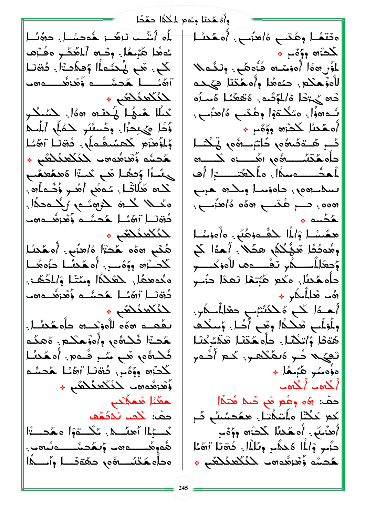وأَقمَحِتْلِ وشَومِ لِمَكْدًا حَمَّجًا ەتتغا وەْئىم ەُاھنُب. أەھكىل لَمَا أَمَنَّــب لَاهُــ; هُوجسُــل. حوهُنُــل عْمَعُلْ هَٰٓبُـِمَلْ. وِحْـه ٱلْمَٰحَـٰدِ مَفَـٰٓزَهـ **َكْحَزْ3 وَوَوَّمْ \*** لمَؤْرِهِهُا أُوفِسُهِ فُزُوهُمْ. وِلَنُّـهِلا كُلِّ . هُي هُكْشُماْ! وُهكُمْتْرا . دُةقال آەڭگىلىقىشىسمە ۆۋىزۇ ئىسىمە للْوْمِكُمْ. حَمْمُهُا وِأُوهَقْنَا فَيُحْمَ لمُكْعَنُلْهُم \* دَه جَهْرَهُمْ وَالْمُؤَكَّدِ . هَ تَعْتَكُمْ لَا مَسْرُه مُعلَّا هُجُماً يُحْدُه هِءَا. حَسَيْحَمِ لُــه%أ. مَكْـتَةٍا وِهُنْبِ %هُنُبِ. وَّدًا مَكْبِحَرًا. وِحَسْنُو حَدَّبًا ٱلْمَحَا أُهِ هَٰذَا لَكَتَّارٌ وَوَّةٌ مِ وَلَمَوْهِمْ وَلَا مَعْشَدِهُ وَلَى اللَّهُ مِنْ الْمَعْلَمِ لَهُ مِنْ الْمَعْلَمِ كَ هَـ عَدَمُهُ مِ كَلَّتَنِــهُ مِ لَكْتَــا حاًه هَنّتُم دةٌ مي اللّه عنه الله حده **ـَمُحَشَه ؤَمَّرْشُه مِن لَمْكُلْعَدُلْمَثْمِ \*** حِسَّمَاً وَحَمَّا مَع مَتَّا وَصَحَفِّ الْمَتَّعِ لْكُلُّهِ هَٰكُلُّاتُمْاً. كُوهُمْ أُهُدِ وَّفُوْلُهُ. يسلمنهون والمؤسيا وتكنه تعريب ەكمىلا كمەن كۆچشەم ئېگىمدەك. 1000 . • مسر هُكَسى 30% هُ/هُنَسى. دُةتْ أَنْهَيْ أَحْسَبْ وَقَدْهُـــه هُڪُسه ھ همَّسُــا وْاٰمُا ۚ كَشُــهوْهُمِّ . ه/ُهوْسُــا لمُكْعِنُلْهُم \* هُدْمٍ «هُه هَجْزًا وُاهِنَّى. أُه هَدْمًا وِهُدَدُدًا هَوْلُكُمْ هَدُلاً. إَحْدًا لَحْ لَكْحَنَّوْهِ وَوَّةَ حَبٍّ. أَوْ هَٰذَا لَّا حَزْوَهُمْ ا هِ تُدْهِدُا . ۖ لِكَفَلْهُ الْمِمَتْنَا وَٱلْمَحَمَّـٰ : . حاُّەھّدىُّا. ەڭم ھُبْتقا تىمدا جَْسِر دُةتَا آهَيْا هُجِسَّے وَٰهُوَهُــوهـ اھُ۔ قْعَلِمُلُمْکُمْ \* أَحِدُا كَبِيَ مَكْنُتَنِي حِعْلِلًا جُرِ. لمُلْكَعِنُلِينَ \* بعُمـــه «هُو الْأُوزْجَـــْ« جلْوهْجِيُــلْ. وِلُوْلَى مُكَّدُّا وِمْعِ أَكَـا. وَمَكْتَ هُدَّ;َا ثُكْرُهِ) وأُهْوُهِكُمْ. هُمْكُمْ هُدَدًا وُاتكْتَا. حاْهِ هُنَّتَا هُكْتُبْكُنَا ثَكْتُهُو هُبِ مُبْرِ فُـوم. أُوهَٰدْلُمْ تَفِيِّيهِ دُبِّ ةَتَقَبَّدُهُ بِنَ لَمَنْهُمْ أَشْمَرَ كْحْرْرُه وِوَوَّىر. دُرْقالْ أَرْكَاطْ هَجِسَه ەۋەمئىر ھۇمگا ھ  $\frac{1}{2}$   $\frac{1}{2}$   $\frac{1}{2}$   $\frac{1}{2}$ ۆھزەئدەمە للىلاھللېپ پ حكمًا شمكَتب حقَّ: 6ه وهُم هُم شَيْمًا كَمْ تَدُكْنَا مِلْتَدُمْدَا. مَعْجَسَّبٌ خَـْرِ حقَّ: لَكْمَا لْكُلُّفُ أَهْنَىبُ فَ هَجْعُلُ كَجْرَهِ وَوَقَعَ حَنُبِ وَٱلْمَا هَٰحِكُبِ وِتَلِلْمَا. حُقَانَا آهَمُا هُوهُ مِ ٥٥ وُبِّعُدِينُ وَبِّيهِ وَ هُحشُه ؤَهْزَهُه ما المُكْلِّلِكُمْلِكُمْ \* وداوهقتئسة ومحقق فسل وأسلما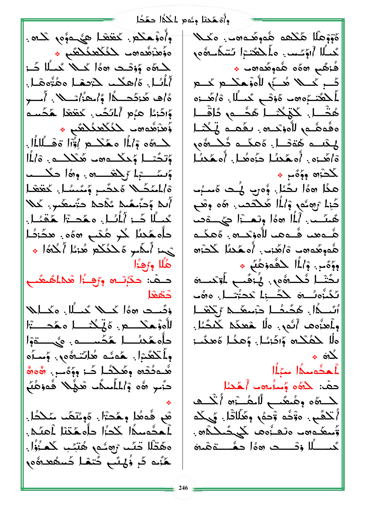وأقمّحتا ونُوم لمككُا حمّحُل

وأُهْوَ هَكُمْ . كَفَقْدًا هِيُوهُمْ كُلُهُ . ەؤھەشەھەب سىككىمىككىكىم ئە لَّكُمُّه وُوْتَـد هَا كَـلاً كَـمُّلَا كَــز أَلْمُلْ. ةَاهكُمْ حَرْجِهْا وَهُزُّوهْا. هُ/ف هُزَكَتِكُمُّا وُ}َ هُ:ُ}َتَسَلاً. }ُنِسِي وَادَٰنِیْلِ هِرُمِ ٱلْمُنَّفِ. كَفَفْعًا هُجُسو ؤُهْزَهُوهِ لِلْمُكْعِلُلُهُمْ \* كِمَاهِ وَٱلْمَالِ مَعْكُمِ إِوَّا وَصَّلَالُهِ). وَتَحَتَّلُ وَجِكْمُ وَمَعَ هَٰكُكُمْ وَالْمَلَ وَسَمْدِ أَرْبَحْقَدِ مِنْ وَهُ أَحَكْسَبَ ة/اسْكُلا ةَحصَّرِ وُسُسُلَ كَقْعْلَ أَلم وَحَنُمْهُمْ مُكْحِظ حَتَمِعْيبٍ. كَمِلا كُمِلًا حُــز أَلْمُــل مِحْجِبًا حَقْمًا. حاْهِ هَٰدَىٰا ۖ لَٰٓىٰ هُنۡب ۞۞ه. مَحَّرَضًا يْهِمْ أَمَكْمِ مَكْنُكُمْ هُوَيْمًا أَكْدَهُ الْمُجْدَدِينَ مَنْ هُلَّا وَرَجْزًا حــف: حكْرُتــه ورُهــرُّا شْمَاهُىشَــم حتفعا وَثَّىــد «ەُ/ كَـــلا كَـــلا. ەكـــللا لأُوْمِكْكُمْ وِي دَيْكُمْكُمْ أَوْمُحْكَمَةً وِلۡكَعۡدَانِ هَٰٓءَ ثَدَ هُٰٓائُنَّدَہُوںٖ ۚ وَۡمِّدَآہٖ هُدەخْدُه وهُكْشُلْ شُعْ ووُهُ بِنَ هُوَهُ دَّىبِ ۞ُه وْالمُلْمِدُ شَوْيُلا قُدْوَهُمْ هْمِ فُوهُا وِهُدْرَا. وُوِسْقَب مُكْدًا. لْمَحْمِيجُا كَدُا دِلْمَحْتَا لِمَتَيْدِ. ەھَتْلَا تْسَّ رَەِئُو مِتْبَبِ كَمْزُوُّلْ. هَّنُو مَ وُلِمَّے شَهْا شَيفُعِيڤُو

ەُوْدِهَا كَكْتُمْمْ هُمْوِهُدەم. مَكْلًا كَمِلًا أَاوَّسُمِ مِلْكَفَتْءِ لِتَتَمَكُّ مِنَّى كُزْهُم 300 هُدْ وِهُدەت \* كَهِ كَمِيلًا هُمْ يَا الْأَهْوَ هَكُمْ كَمْ مَرْ لَمْلَاثَنَــٰہُ٥٥۔ ەُوْتَـــى كَـــلاً. ەُ/ھَــزە هُتْــا. كَوْكُسْـا هُشُــه دُاقْــا وفَوضَـو الأوزنــــــره . معنَّ من السَّفْر عليه لمِنْسَــم هُةدْسَــل: هُمكَــم فُـكْــرُهُ مِ ةَاهَدَهِ . أُهِ هَٰدَنُـا جَهُومُـا . أُه هَٰدَنُـا  $\lambda \rightarrow 0$ هَذَا هَءُا نَصُّاً. وُهن کُبْتَ هُمَيْت جَزِءَ رُهِيمٌ وَ} أَمْ هُكْتَحِبٍ. هُه وِهْمِ هُمنُــب. أَلَمَّا 16% وِتَـعَـــْزَا حَيْـــــةَحَب هُـــوهـا هُـــوما الْأُوزْنَـــرو . هُمكُــو هُموهُموه ، وْأَهْنِ ، أو هَدْلُ كَحْزُو وِوَّەُمِ فِيْ وَالْمَالْمَحْقُوْدِهُمْ \* ىخْتْـا فُكْـ ۞َى، يُٰٓ;فَبِ لَمْقَنْحَتْ مَنْ ئَكُنُوسُــة لِكَـــنِا تَدَيَّتَــا. وهُب ٱئىگا. ھَحُمْطُ حَنْصِعًا مِ بَلَهْمَا وِلْعِنُومِ أَنُوبِ وَلَا هَعِكُمْ كُلِّصًا. ەللى كەڭگى ۋائزۇلل. ۋەڭلى ۋەشقىز  $\therefore$  on  $\triangle$ ألحدُه الْمُدَارِ الْمَرْأَ حقَد: لِمَوْهِ وَسِلُمِهِ أَهْلِمُا لِمَسْعَمَ وَهُمَنَى لَامِضُوْرَهِ أَنْمَسُو أَ تَكْصُو وَ وَقُدْهَ وَقَدْهُمْ وِهَٰكُلاَثْلُ فِي كَلَّاءِ تُسطَمهم متَعبُّوها كَلِيضُلَّكُمْهِ. كمسألا وثسيحه هؤا حف تفهنه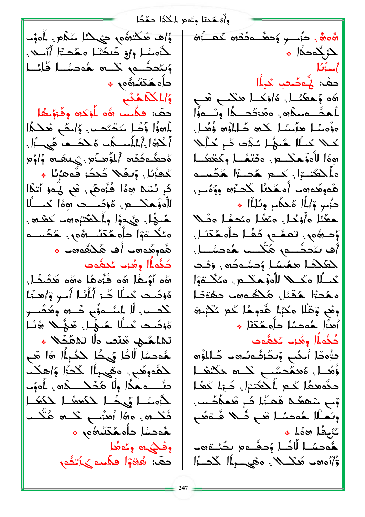وأَقمَحِتْلِ وشَومِ لِمَكْدًا حَمَّجًا

وُافْ تَعَكّْنَدْهُ مِنْ حَيْلِهَا سُلْمُ مِنْ الْمُؤْمِنِ كُرْوِسُا وِرُوْ حُبِّتْنَا وَهُدْرًا أَرْبِيلا . وُبِمَحَدٌ وَ عَدَّد هُومِسُمَا فَاسُمْ دأەھكنىۋە ، وَالْمَكْلَمُنَّى حقَّ: فَكَسَبَ وَّهُ الْمَرْكَةُ وَقَرَّفُتُهَا ـأَآهوُّا وَّكُـا مُنْتَنَّحـَـب. وَّامَكُم شَكْـكَا ا أَحْدُهُ الْمَلْمُسْلَمُ هَ حَدْسَفٌ فَهِيءُ لِ هَ حَمَّدَ حَمَّدَه ﴾ [الْمُحَدَّم: ٩] مَ عَلَمَ مَ مُ أَمُّ مِ كَعْزُلُا. وُبِّعُلا خُدْجُز فُوعرُبُل \* كَرِ يُسْمْ هِهُا هُزُوهُو. هُو يُعْوَ أَتَيْݣَا لِلْمَوْحِكْمِ وَوَقَعَمَ مِمَا يُحَمَّلُا هَمَدُل: ٥٠٤ ولَم لِمَعْتَبُوهِ حَقَّدَهِ. ەڭگىقۋا داھكتىسىدۇەب. كەڭسىد هُەوٖهُدەمە /ُڡ ھُڵۿُدەەم \* كُنُّه لَمَٰ إِسَّوْ مُحَدَّدة مِنْ الْمَدَّوِي هُه أَوُعِمًا هُه فُزُهِهًا هِهُه هَٰحُمَٰطًا. ەُوْئَىـت كَـىـُلَا خَـز ٱلْمُـُـل ٱمــر وْاھــزْلم تُكْتَبَ. لَا لمُشْتَوَّى شَنْتَه وَهُتَنْسِر ەُوْتُىپ خْسالا ھُىمْلا. ھَدْسُلا ھَاسَل تَمْلَـمْـنِي مْتَتْتَ هَلَا تَمْهَّكُـلا \* هُوصةُ الْجِنْمُ الْحَكَّرِ أَمَّا الْمُوصَّفَةِ مِنْ النَّصَفَةِ لِحَقَّةٍ هَذِي وَشَيْئٍ الْكَتَزَاعِ الْقَدَّدُ دئــــمماً ولًا هَدْــــــهُ». لَموْم لأهنها فيحب لمحفي فلنستك ثَكْتُهِ. وَهَٰا يُعنُبُ كَتْتُهُ هُنَّكْتُ هُوحِسُلَ حِلَّهِ هُنْتَسُوُّهِ \* وقثيره وتماهل 

رُّهُ مَنْ أَوْسِي وَحِمْدُ وَدَّدُ مَنْ ذَهَبَ حرُبُدْحدًا \* إمىَّ ثَل َحِفَ: إِنَّهَ صَّحِبِ كَرِمًّا هُه وُهِعَنْـا. هُ/وْحُـا هِنْمَـــو هُـــو لْمَحَّـــــــممْ(ه . مَعْزَكَـحــــدًّا وِنَــــمؤُا ەۋەمما ھۇمما تكە كالمۇھ ۆھل. کے کیلًا ہُنجُا تُکُو کُر کُلُٹ هِهُا لِأُوْمِكُ مِ. وَتَنَمُّطْ وِكَعَٰهُـطْ مأحدَّثت المسلم حَدَّرَا حَدَّسه هُدوهُده لهُ هَدْلُ كُحِبْرُه وَوَمُسِ. دَّمَى وَٱلْمَا هَٰدِكُمْ وِتَالَمَا ﴾ هعَمْا هِ/ُوْحُل. همَعُل همْحِصُل هِ صَلا وَحدةُهب. تعمّـم كَفُـا حالُمحّتَنا. أَفْ سَمَدْتُنَ مُنَكَبِ اهْوَجِسُنَا. لْمَكْلُمَا مَعَّسُاً وَحِسَّەدُ . وَتَد كْسُلًا وَحُمِيلًا لِأُوْفِعِيْكُمْ فِي وَكُنْتَوْا مَعْجَبًا هَقْدًا. هَكْشُوهب حقّةقْد وقع وْقْلًا مَكْبُا هُموهُا كُمْ كَلّْبَعْنَ أهزًا هُوصُل داْوهَنَدْ \* كُثْمَلُّا وِهُنِي كُبْقُوب دَّوْدَا ٱمنَّى وَّىدَدَّدَىٰىه كَالمْوْه ؤُهُـا. هُهمُحسَّبِ لْمـهِ مكْتَعْـا حذُه همُا حُـم لَمْحَمْتَهِ!. حَـٰٓبِا حُصُـا وْبِ سْعِعْكُمْ قْعَنْهُا كُلِّ هُمَكَّكْسَ. وتعىلًا حُدمئاً هُم ثَــلاً فَــٰقَهُم  $\bullet$   $\downarrow$ óo  $\downarrow$ é $\downarrow$ هُوَجِسًا لَّأَجُلٍ وَجَعْدِهِ بِجَمْنَةِهِب وَّاأَه هب هُكُمُ : ه هَي بِمَا كُدْ: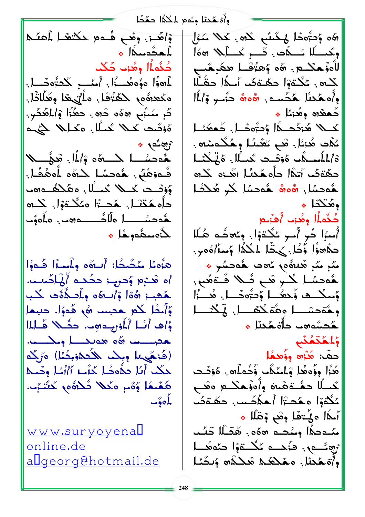وأقمّحتا ونُوم الحُدّا حمّحًا وْأَهَدَ: وَهَبَ فُ9ْ0 حَكْتَهْا لْمَصَلَّمَ 6ه وَدَّوْدَا لِمَكْسُ كُلُّهَ . كَلا مَنْزَل ـ أهدَدُه مثلاً ب وِكَعِسْلًا مُسْتَمَدٍ. دَسْمٍ مُسْأَلَمٌ 20\$ كُنْمَلًا ومُنه كُمْد الْمُؤْهَلُكُمْ. ۞ه وَهَٰرُقْهَا هِمَّبِهُبَ بْلِهِ. كَتْتَوْا حَفْتَضَ أَحَدًّا حَقَّلًا لْمُعِدُّلُ مَوْمِعُكُمْلُ. أَمَيْ لِلْكُنُّوصَابِ مَكْعَدَةُ مِنْ مَاتِينَ مِنْ أَيْنَ مَنْ الْمَحْدَ وَهُكُلاتْ وأدهَكلا هَكَسه. هُ هُ هُ حَزَىبٍ وَٱلْمَلَا كَرِ مُمْنُومٍ وَوَوْهِ صَلَّىٰ وَٱلْمُحَكِّرِ. أحَمقه ومُناء كَمِلا هُرْدُهِـداْ وُحِثُّوهُــا. ضُعِعَيْــا ەُوَتَىت كَتْمَلا گَمَىلْلا مَكْتَلَلا حَكَمَ ه مُكْتَ هُزْمًا. هُم مُعْمَلُه وهُكُدمْهِ.  $\bullet$   $\sim$   $\sim$ هُوصلُه للسرةُ وَالمُلْ هُدًّ لَلا ة/لمَلِّسـدُّب هُوَتَـت جُبِيُّلَ هَيْجُمْـل فُءفهُبُ. هُءحسُل كِنَّه لُهمُفُل. حَفَّةَكُبِ أَتَيْدًا جِلَّهِ هَجْئُلِ أَهْدَهِ ۚ ثَلِيهِ ۇۆتىت كىلا ئىسلا. ەڭلى*ش*ەھت هُوصِمًا. ۞و۞ هُوصِمًا لَحْدٍ هَٰكَكُمْ دأەھّتتىل ھَدْتَرا ەڭگەۋل كە وهُتَكُمْلُ \* حُذُه أَل وهُن، أُهْنَيم هُوجِسُ الْمَلَاثُ وَ وَ الْمُؤْمَّدِينَ وَ الْمَؤْمَّدِينَ أُمَّ إِلَّا دُو أُمِنٍ كَتَّتَوْمًا. وَيُحدَّد هُلًا لأوسقُومًا \* حِكْمَوْا وَّحَا. كَحْدًا لِمُكْمَّا وَمِعَاْهُومِ. هِنُومُا مُحَمَّدًا: أَنْهُو وَلَمِيْرًا فَنَوْا مَّةٍ مَّةٍ هَدَهُ مِّ مَّهِ مَّهْ مَعْدَمُو \* اه هُــُرْم وُحرب: ححُكــه أَهْلَكُـســ. هُەدسُا كُـر شَـر كُـلا ڤُـتَمَّىر. وَسِكْـ هِ وَجَعَـٰـا وَجَرُّهِ=َـا. هُــزًا هُعِب; هُوْا وْاسْهُه وِلْمَـٰأَوْمَ كُب وهُقحشها هِ هُقكُنْ الْمَسْلِي فَيَكْتَبَ ا وَأَمْثَلَ كُمْ هَجِيبَ هُمْ قَوْدًا. جَبْهَا وُا اللَّهُ أَلَمُوْرَبِ90 مِنْ حَشَيْلًا وَعَالِمًا هُجِيَّة وقت جَلَّة هُجَيَّا ﴾ مصيب وه موسيا وللنب وَالْمُتَمُنَّى حقَّ: هُنْزَرَه ووُهِهُا (قَزِهَيْهَا وِبِكْ لِلْأَحْذِوْبِثُنَا) هَرَبِكُمْ الْمَرْجَدَةُ هُٰذُا وِؤُهِهُا وَلِمَٰكُم وَّثُمُلُه ﴾ وَهُمَلُونَ وَقَتَ حكَّد أَمَّا حَدُّوجًا كَنَّبِ ٱلْأَمَّا وَجْبِهِ هَٰهُمَا وَمُم مَكَّلًا ثُلُّهُمْ كَتُنَبِّب. ىُمسُلَا حَقَّـتَەتْمەن بِأُەزْحَمْـْـــْ مِرەتىب بأهؤب عَكْدَوْا مِمُحِبْزَا أَحِكْضَبٍ. حَقَيْقَف أَمْلًا هِيَّتْنَا وِثْنِي وْمَثَلَا \* www.suryoyenal مَّــوَدُّا وِمُحــو 300 . هُتَــُّلاً حَتَّــ رُومُـــو، وأحـــو عَكْـــوْمُ حَدْوَالْمِسْمَى online.de algeorg@hotmail.de وأة هُجِبًا. وهَجْعُج مْحَجَرُه وَيَحْبَل